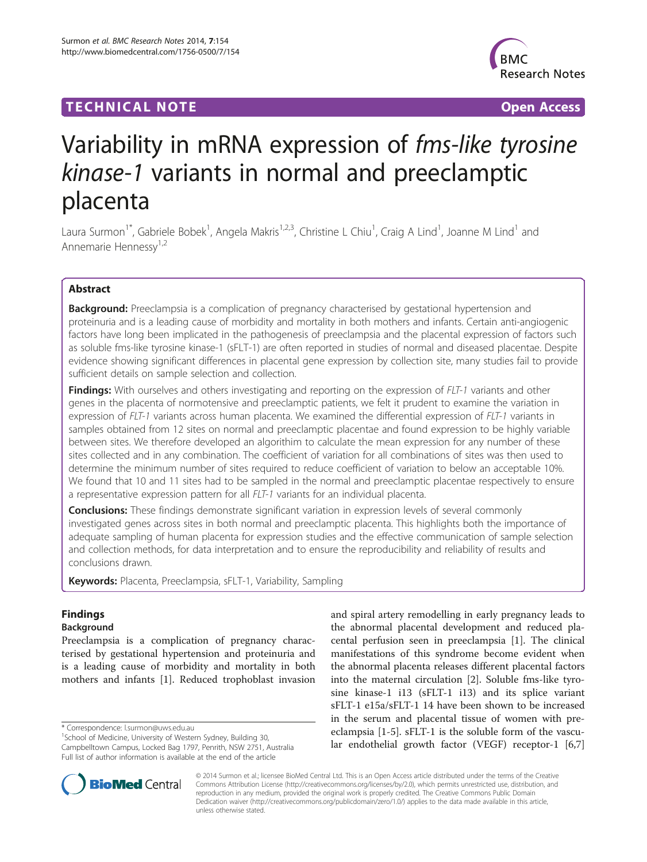# **TECHNICAL NOTE TECHNICAL NOTE**



# Variability in mRNA expression of fms-like tyrosine kinase-1 variants in normal and preeclamptic placenta

Laura Surmon<sup>1\*</sup>, Gabriele Bobek<sup>1</sup>, Angela Makris<sup>1,2,3</sup>, Christine L Chiu<sup>1</sup>, Craig A Lind<sup>1</sup>, Joanne M Lind<sup>1</sup> and Annemarie Hennessy1,2

## Abstract

**Background:** Preeclampsia is a complication of pregnancy characterised by gestational hypertension and proteinuria and is a leading cause of morbidity and mortality in both mothers and infants. Certain anti-angiogenic factors have long been implicated in the pathogenesis of preeclampsia and the placental expression of factors such as soluble fms-like tyrosine kinase-1 (sFLT-1) are often reported in studies of normal and diseased placentae. Despite evidence showing significant differences in placental gene expression by collection site, many studies fail to provide sufficient details on sample selection and collection.

**Findings:** With ourselves and others investigating and reporting on the expression of FLT-1 variants and other genes in the placenta of normotensive and preeclamptic patients, we felt it prudent to examine the variation in expression of FLT-1 variants across human placenta. We examined the differential expression of FLT-1 variants in samples obtained from 12 sites on normal and preeclamptic placentae and found expression to be highly variable between sites. We therefore developed an algorithim to calculate the mean expression for any number of these sites collected and in any combination. The coefficient of variation for all combinations of sites was then used to determine the minimum number of sites required to reduce coefficient of variation to below an acceptable 10%. We found that 10 and 11 sites had to be sampled in the normal and preeclamptic placentae respectively to ensure a representative expression pattern for all FLT-1 variants for an individual placenta.

**Conclusions:** These findings demonstrate significant variation in expression levels of several commonly investigated genes across sites in both normal and preeclamptic placenta. This highlights both the importance of adequate sampling of human placenta for expression studies and the effective communication of sample selection and collection methods, for data interpretation and to ensure the reproducibility and reliability of results and conclusions drawn.

Keywords: Placenta, Preeclampsia, sFLT-1, Variability, Sampling

# Findings

## Background

Preeclampsia is a complication of pregnancy characterised by gestational hypertension and proteinuria and is a leading cause of morbidity and mortality in both mothers and infants [[1](#page-4-0)]. Reduced trophoblast invasion

\* Correspondence: [l.surmon@uws.edu.au](mailto:l.surmon@uws.edu.au) <sup>1</sup>

<sup>1</sup>School of Medicine, University of Western Sydney, Building 30, Campbelltown Campus, Locked Bag 1797, Penrith, NSW 2751, Australia Full list of author information is available at the end of the article

and spiral artery remodelling in early pregnancy leads to the abnormal placental development and reduced placental perfusion seen in preeclampsia [[1\]](#page-4-0). The clinical manifestations of this syndrome become evident when the abnormal placenta releases different placental factors into the maternal circulation [\[2](#page-4-0)]. Soluble fms-like tyrosine kinase-1 i13 (sFLT-1 i13) and its splice variant sFLT-1 e15a/sFLT-1 14 have been shown to be increased in the serum and placental tissue of women with preeclampsia [\[1-5](#page-4-0)]. sFLT-1 is the soluble form of the vascular endothelial growth factor (VEGF) receptor-1 [\[6,7](#page-4-0)]



© 2014 Surmon et al.; licensee BioMed Central Ltd. This is an Open Access article distributed under the terms of the Creative Commons Attribution License [\(http://creativecommons.org/licenses/by/2.0\)](http://creativecommons.org/licenses/by/2.0), which permits unrestricted use, distribution, and reproduction in any medium, provided the original work is properly credited. The Creative Commons Public Domain Dedication waiver [\(http://creativecommons.org/publicdomain/zero/1.0/](http://creativecommons.org/publicdomain/zero/1.0/)) applies to the data made available in this article, unless otherwise stated.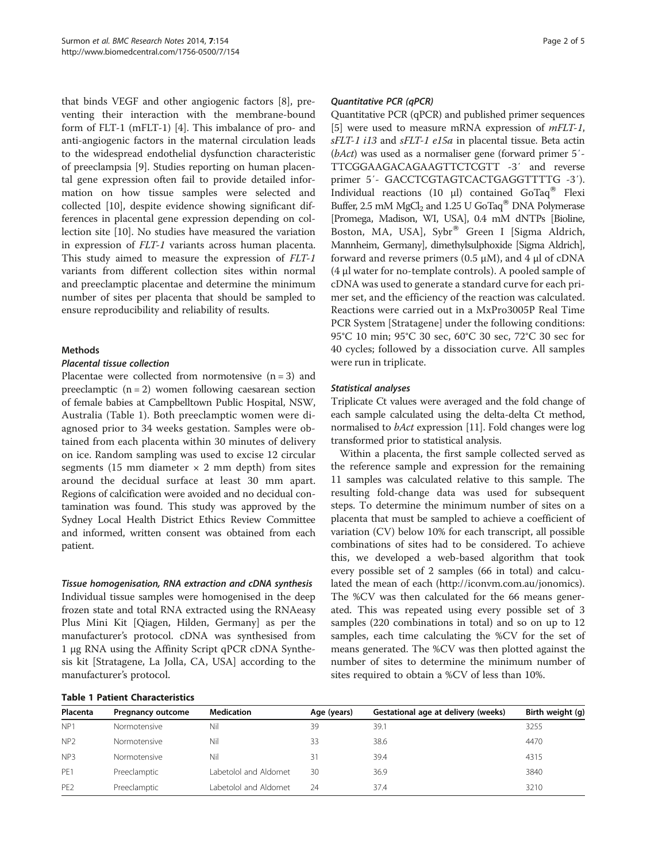that binds VEGF and other angiogenic factors [\[8](#page-4-0)], preventing their interaction with the membrane-bound form of FLT-1 (mFLT-1) [[4\]](#page-4-0). This imbalance of pro- and anti-angiogenic factors in the maternal circulation leads to the widespread endothelial dysfunction characteristic of preeclampsia [[9](#page-4-0)]. Studies reporting on human placental gene expression often fail to provide detailed information on how tissue samples were selected and collected [\[10](#page-4-0)], despite evidence showing significant differences in placental gene expression depending on collection site [\[10\]](#page-4-0). No studies have measured the variation in expression of FLT-1 variants across human placenta. This study aimed to measure the expression of FLT-1 variants from different collection sites within normal and preeclamptic placentae and determine the minimum number of sites per placenta that should be sampled to ensure reproducibility and reliability of results.

#### Methods

#### Placental tissue collection

Placentae were collected from normotensive  $(n = 3)$  and preeclamptic  $(n = 2)$  women following caesarean section of female babies at Campbelltown Public Hospital, NSW, Australia (Table 1). Both preeclamptic women were diagnosed prior to 34 weeks gestation. Samples were obtained from each placenta within 30 minutes of delivery on ice. Random sampling was used to excise 12 circular segments (15 mm diameter  $\times$  2 mm depth) from sites around the decidual surface at least 30 mm apart. Regions of calcification were avoided and no decidual contamination was found. This study was approved by the Sydney Local Health District Ethics Review Committee and informed, written consent was obtained from each patient.

#### Tissue homogenisation, RNA extraction and cDNA synthesis

Individual tissue samples were homogenised in the deep frozen state and total RNA extracted using the RNAeasy Plus Mini Kit [Qiagen, Hilden, Germany] as per the manufacturer's protocol. cDNA was synthesised from 1 μg RNA using the Affinity Script qPCR cDNA Synthesis kit [Stratagene, La Jolla, CA, USA] according to the manufacturer's protocol.

#### Quantitative PCR (qPCR)

Quantitative PCR (qPCR) and published primer sequences [[5\]](#page-4-0) were used to measure mRNA expression of *mFLT-1*, sFLT-1 i13 and sFLT-1 e15a in placental tissue. Beta actin (bAct) was used as a normaliser gene (forward primer 5′- TTCGGAAGACAGAAGTTCTCGTT -3′ and reverse primer 5'- GACCTCGTAGTCACTGAGGTTTTG -3'). Individual reactions (10 μl) contained  $GoTaq^®$  Flexi Buffer, 2.5 mM MgCl<sub>2</sub> and 1.25 U GoTaq<sup>®</sup> DNA Polymerase [Promega, Madison, WI, USA], 0.4 mM dNTPs [Bioline, Boston, MA, USA], Sybr® Green I [Sigma Aldrich, Mannheim, Germany], dimethylsulphoxide [Sigma Aldrich], forward and reverse primers (0.5 μM), and 4 μl of cDNA (4 μl water for no-template controls). A pooled sample of cDNA was used to generate a standard curve for each primer set, and the efficiency of the reaction was calculated. Reactions were carried out in a MxPro3005P Real Time PCR System [Stratagene] under the following conditions: 95°C 10 min; 95°C 30 sec, 60°C 30 sec, 72°C 30 sec for 40 cycles; followed by a dissociation curve. All samples were run in triplicate.

#### Statistical analyses

Triplicate Ct values were averaged and the fold change of each sample calculated using the delta-delta Ct method, normalised to *bAct* expression [\[11\]](#page-4-0). Fold changes were log transformed prior to statistical analysis.

Within a placenta, the first sample collected served as the reference sample and expression for the remaining 11 samples was calculated relative to this sample. The resulting fold-change data was used for subsequent steps. To determine the minimum number of sites on a placenta that must be sampled to achieve a coefficient of variation (CV) below 10% for each transcript, all possible combinations of sites had to be considered. To achieve this, we developed a web-based algorithm that took every possible set of 2 samples (66 in total) and calculated the mean of each (<http://iconvm.com.au/jonomics>). The %CV was then calculated for the 66 means generated. This was repeated using every possible set of 3 samples (220 combinations in total) and so on up to 12 samples, each time calculating the %CV for the set of means generated. The %CV was then plotted against the number of sites to determine the minimum number of sites required to obtain a %CV of less than 10%.

#### Table 1 Patient Characteristics

| Placenta        | Pregnancy outcome | <b>Medication</b>     | Age (years) | Gestational age at delivery (weeks) | Birth weight (g) |
|-----------------|-------------------|-----------------------|-------------|-------------------------------------|------------------|
| NP <sub>1</sub> | Normotensive      | Nil                   | 39          | 39.1                                | 3255             |
| NP <sub>2</sub> | Normotensive      | Nil                   | 33          | 38.6                                | 4470             |
| NP3             | Normotensive      | Nil                   | 31          | 39.4                                | 4315             |
| PF1             | Preeclamptic      | Labetolol and Aldomet | 30          | 36.9                                | 3840             |
| PE <sub>2</sub> | Preeclamptic      | Labetolol and Aldomet | 24          | 37.4                                | 3210             |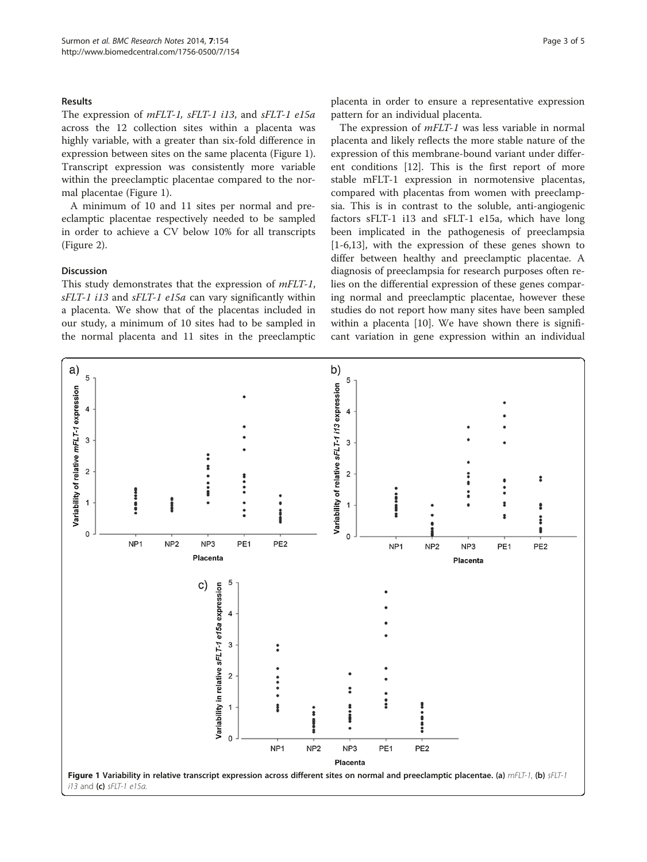#### Results

The expression of mFLT-1, sFLT-1 i13, and sFLT-1 e15a across the 12 collection sites within a placenta was highly variable, with a greater than six-fold difference in expression between sites on the same placenta (Figure 1). Transcript expression was consistently more variable within the preeclamptic placentae compared to the normal placentae (Figure 1).

A minimum of 10 and 11 sites per normal and preeclamptic placentae respectively needed to be sampled in order to achieve a CV below 10% for all transcripts (Figure [2](#page-3-0)).

#### Discussion

This study demonstrates that the expression of *mFLT-1*, sFLT-1 i13 and sFLT-1 e15a can vary significantly within a placenta. We show that of the placentas included in our study, a minimum of 10 sites had to be sampled in the normal placenta and 11 sites in the preeclamptic

placenta in order to ensure a representative expression pattern for an individual placenta.

The expression of mFLT-1 was less variable in normal placenta and likely reflects the more stable nature of the expression of this membrane-bound variant under different conditions [\[12\]](#page-4-0). This is the first report of more stable mFLT-1 expression in normotensive placentas, compared with placentas from women with preeclampsia. This is in contrast to the soluble, anti-angiogenic factors sFLT-1 i13 and sFLT-1 e15a, which have long been implicated in the pathogenesis of preeclampsia [[1-6,13](#page-4-0)], with the expression of these genes shown to differ between healthy and preeclamptic placentae. A diagnosis of preeclampsia for research purposes often relies on the differential expression of these genes comparing normal and preeclamptic placentae, however these studies do not report how many sites have been sampled within a placenta [\[10](#page-4-0)]. We have shown there is significant variation in gene expression within an individual

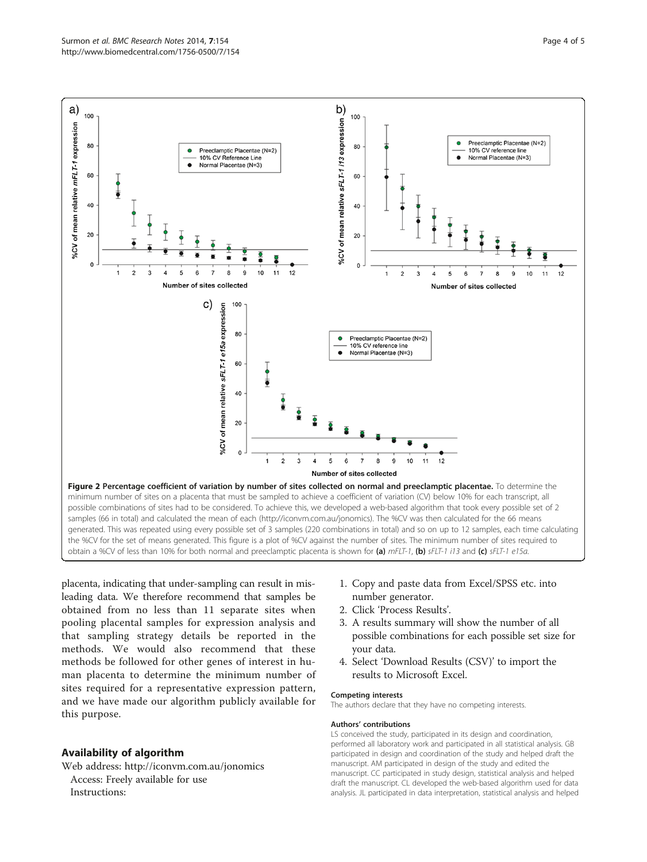<span id="page-3-0"></span>

placenta, indicating that under-sampling can result in misleading data. We therefore recommend that samples be obtained from no less than 11 separate sites when pooling placental samples for expression analysis and that sampling strategy details be reported in the methods. We would also recommend that these methods be followed for other genes of interest in human placenta to determine the minimum number of sites required for a representative expression pattern, and we have made our algorithm publicly available for this purpose.

## Availability of algorithm

Web address:<http://iconvm.com.au/jonomics> Access: Freely available for use Instructions:

- 1. Copy and paste data from Excel/SPSS etc. into number generator.
- 2. Click 'Process Results'.
- 3. A results summary will show the number of all possible combinations for each possible set size for your data.
- 4. Select 'Download Results (CSV)' to import the results to Microsoft Excel.

#### Competing interests

The authors declare that they have no competing interests.

#### Authors' contributions

LS conceived the study, participated in its design and coordination, performed all laboratory work and participated in all statistical analysis. GB participated in design and coordination of the study and helped draft the manuscript. AM participated in design of the study and edited the manuscript. CC participated in study design, statistical analysis and helped draft the manuscript. CL developed the web-based algorithm used for data analysis. JL participated in data interpretation, statistical analysis and helped